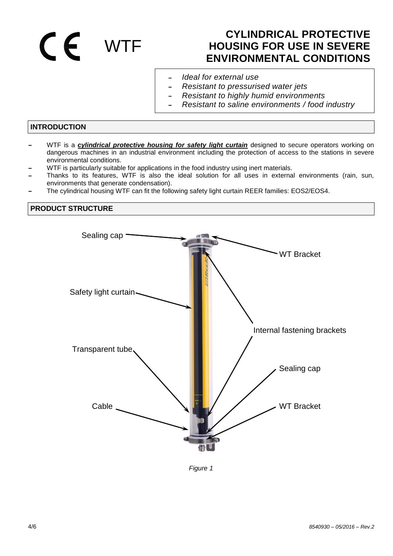CE WTF

# **CYLINDRICAL PROTECTIVE HOUSING FOR USE IN SEVERE ENVIRONMENTAL CONDITIONS**

- *Ideal for external use*
- *Resistant to pressurised water jets*  $\sim$
- *Resistant to highly humid environments*
- *Resistant to saline environments / food industry*

## **INTRODUCTION**

- WTF is a *cylindrical protective housing for safety light curtain* designed to secure operators working on dangerous machines in an industrial environment including the protection of access to the stations in severe environmental conditions.
- WTF is particularly suitable for applications in the food industry using inert materials.
- Thanks to its features, WTF is also the ideal solution for all uses in external environments (rain, sun, environments that generate condensation).
- The cylindrical housing WTF can fit the following safety light curtain REER families: EOS2/EOS4.

#### **PRODUCT STRUCTURE**



*Figure 1*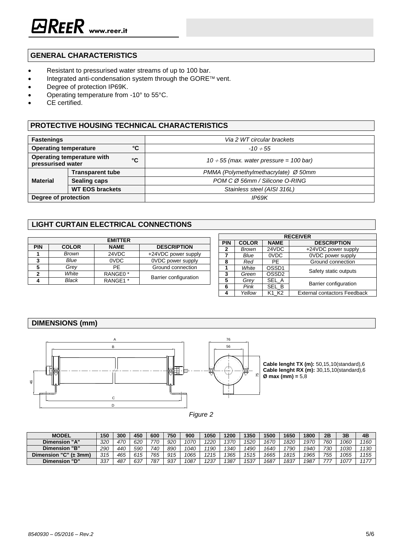# **GENERAL CHARACTERISTICS**

- Resistant to pressurised water streams of up to 100 bar.
- Integrated anti-condensation system through the GORE™ vent.
- Degree of protection IP69K.
- Operating temperature from -10° to 55°C.
- CE certified.

### **PROTECTIVE HOUSING TECHNICAL CHARACTERISTICS**

| <b>Fastenings</b>                  |                            |    | Via 2 WT circular brackets                   |  |  |  |  |
|------------------------------------|----------------------------|----|----------------------------------------------|--|--|--|--|
| °C<br><b>Operating temperature</b> |                            |    | $-10 \div 55$                                |  |  |  |  |
| pressurised water                  | Operating temperature with | °C | $10 \div 55$ (max. water pressure = 100 bar) |  |  |  |  |
|                                    | <b>Transparent tube</b>    |    | PMMA (Polymethylmethacrylate) Ø 50mm         |  |  |  |  |
| <b>Material</b>                    | Sealing caps               |    | POM C Ø 56mm / Silicone O-RING               |  |  |  |  |
|                                    | <b>WT EOS brackets</b>     |    | Stainless steel (AISI 316L)                  |  |  |  |  |
| Degree of protection               |                            |    | IP69K                                        |  |  |  |  |

# **LIGHT CURTAIN ELECTRICAL CONNECTIONS**

| <b>EMITTER</b> |              |                     |                       |  |  |  |  |  |  |  |
|----------------|--------------|---------------------|-----------------------|--|--|--|--|--|--|--|
| <b>PIN</b>     | <b>COLOR</b> | <b>NAME</b>         | <b>DESCRIPTION</b>    |  |  |  |  |  |  |  |
|                | <b>Brown</b> | 24VDC               | +24VDC power supply   |  |  |  |  |  |  |  |
| 3              | Blue         | 0VDC                | 0VDC power supply     |  |  |  |  |  |  |  |
| 5              | Grey         | PF                  | Ground connection     |  |  |  |  |  |  |  |
| 2              | White        | RANGE0 <sup>*</sup> |                       |  |  |  |  |  |  |  |
|                | Black        | RANGE1 *            | Barrier configuration |  |  |  |  |  |  |  |

| <b>RECEIVER</b> |              |                   |                                     |  |  |  |  |  |  |  |
|-----------------|--------------|-------------------|-------------------------------------|--|--|--|--|--|--|--|
| <b>PIN</b>      | <b>COLOR</b> | <b>NAME</b>       | <b>DESCRIPTION</b>                  |  |  |  |  |  |  |  |
| $\mathbf{2}$    | Brown        | 24VDC             | +24VDC power supply                 |  |  |  |  |  |  |  |
| 7               | Blue         | 0VDC              | 0VDC power supply                   |  |  |  |  |  |  |  |
| 8               | Red          | PF.               | Ground connection                   |  |  |  |  |  |  |  |
| 1               | White        | OSSD <sub>1</sub> | Safety static outputs               |  |  |  |  |  |  |  |
| 3               | Green        | OSSD <sub>2</sub> |                                     |  |  |  |  |  |  |  |
| 5               | Grev         | SEL A             | Barrier configuration               |  |  |  |  |  |  |  |
| 6               | Pink         | SEL B             |                                     |  |  |  |  |  |  |  |
|                 | Yellow       | K1 K2             | <b>External contactors Feedback</b> |  |  |  |  |  |  |  |

#### **DIMENSIONS (mm)**



**Cable lenght TX (m):** 50,15,10(standard),6 **Cable lenght RX (m):** 30,15,10(standard),6 **Ø max (mm) =** 5,8

*Figure 2*

| <b>MODEL</b>                                             | 150 | 300 | 450 | 600 | 750 | 900  | 1050 | 1200 | 1350 | 1500 | 1650 | 1800 | 2B  | 3B   | 4B   |
|----------------------------------------------------------|-----|-----|-----|-----|-----|------|------|------|------|------|------|------|-----|------|------|
| <b>Dimension "A"</b>                                     | 320 | 470 | 620 | 770 | 920 | 1070 | 1220 | 1370 | '520 | 1670 | 820  | 1970 | 760 | 1060 | 1160 |
| "В"<br><b>Dimension</b>                                  | 290 | 440 | 590 | 740 | 890 | 1040 | ,190 | 1340 | 490  | 1640 | 790  | 1940 | 730 | 1030 | 1130 |
| $n_{\bullet}$<br><b>Dimension</b><br>$(\pm 3 \text{mm})$ | 315 | 465 | 615 | 765 | 915 | 1065 | 1215 | 1365 | 1515 | 1665 | '815 | 1965 | 755 | 1055 | 1155 |
| "D"<br><b>Dimension</b>                                  | 337 | 487 | 637 | 787 | 937 | 1087 | 1237 | 1387 | 1537 | 1687 | 837  | 1987 | 77  | 107  | 1177 |